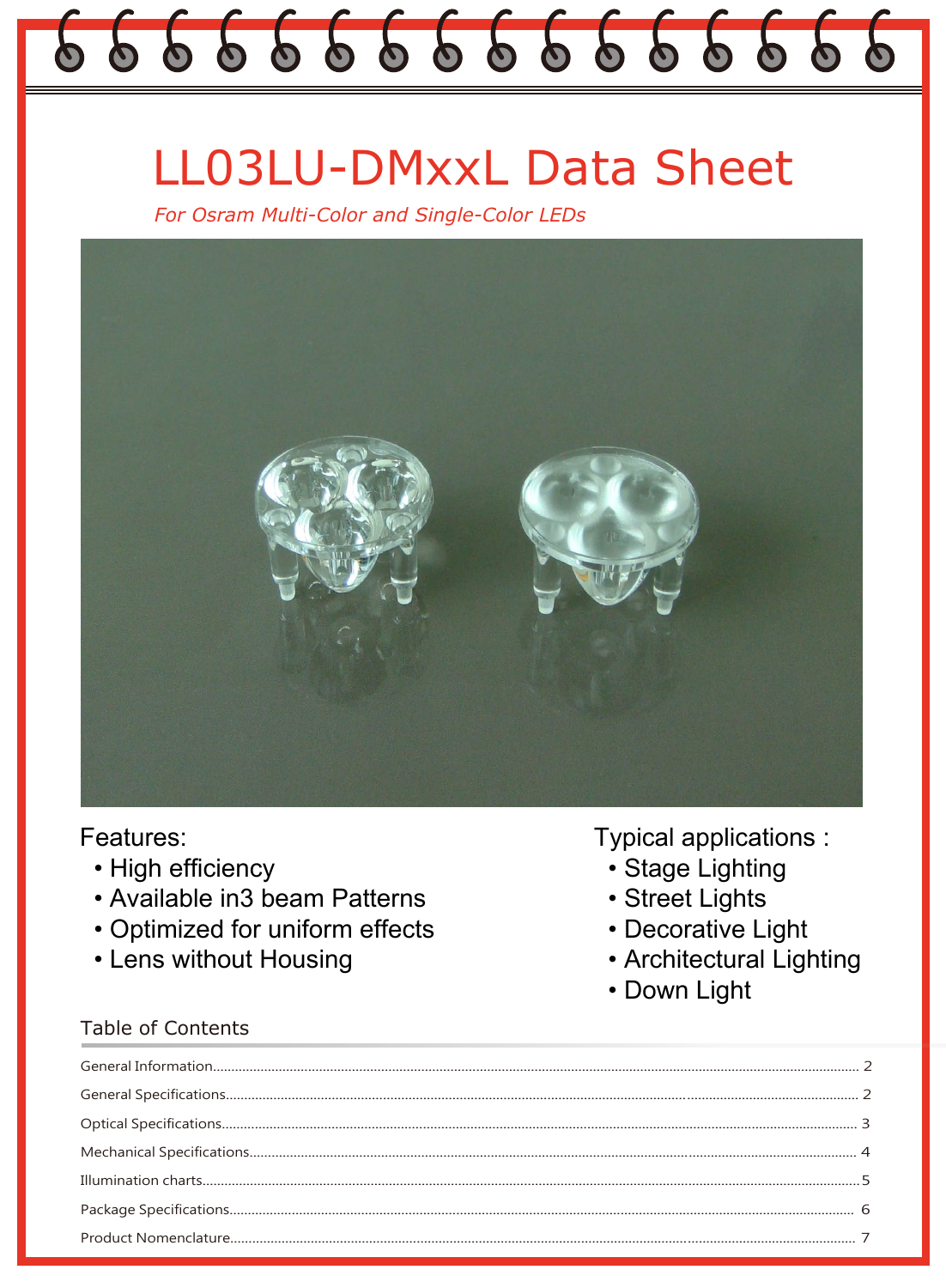# 666666666666666

# **LL03LU-DMxxL Data Sheet**

For Osram Multi-Color and Single-Color LEDs



# Features:

- High efficiency
- Available in3 beam Patterns
- Optimized for uniform effects
- Lens without Housing

## **Table of Contents**

- **Typical applications:** 
	- · Stage Lighting
	- Street Lights
	- Decorative Light
	- Architectural Lighting
	- Down Light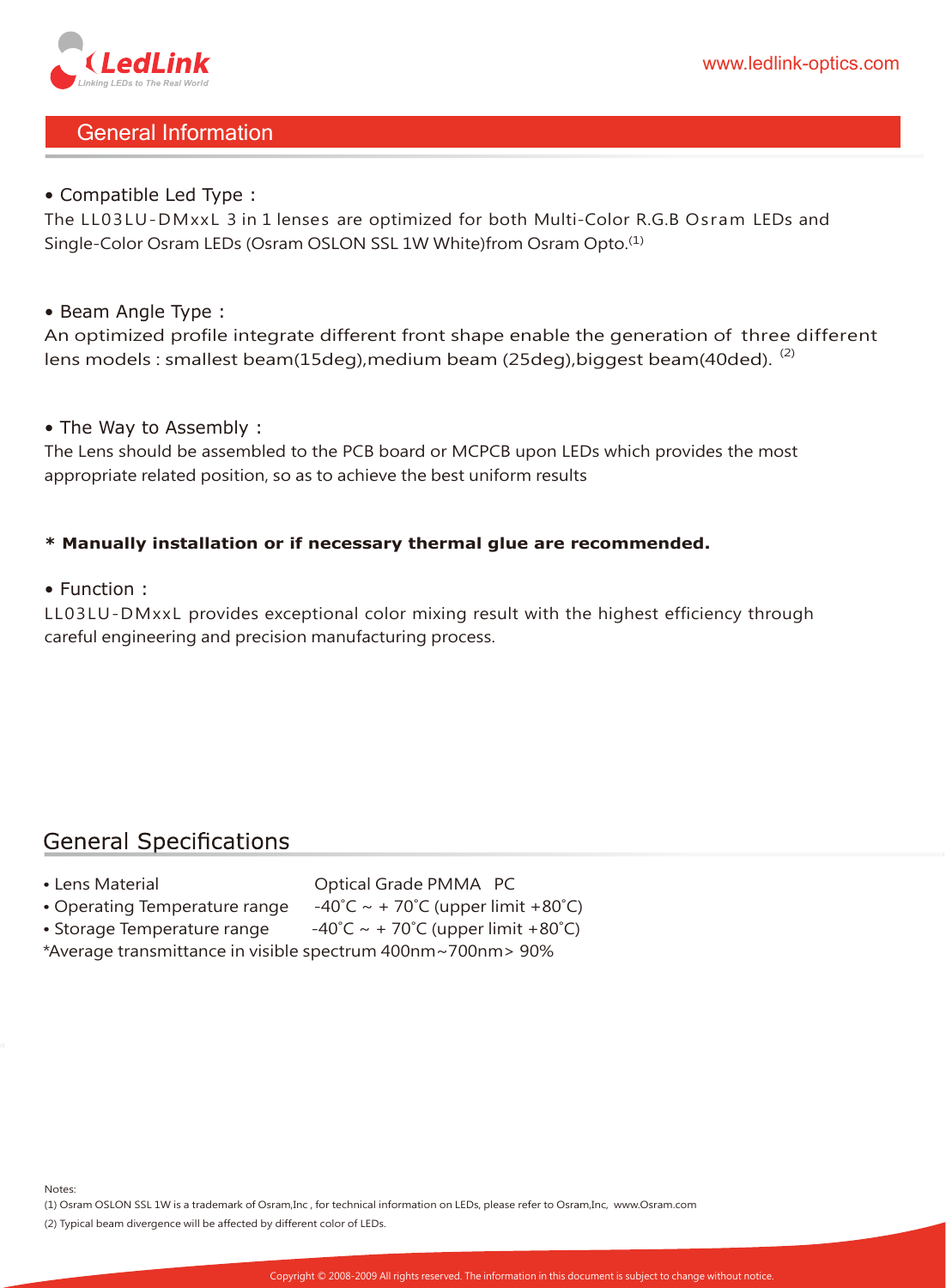

# General Information

#### • Compatible Led Type :

The LL03LU-DMxxL 3 in 1 lenses are optimized for both Multi-Color R.G.B Osram LEDs and Single-Color Osram LEDs (Osram OSLON SSL 1W White)from Osram Opto.(1)

#### • Beam Angle Type :

An optimized profile integrate different front shape enable the generation of three different lens models : smallest beam(15deg), medium beam (25deg), biggest beam(40ded).  $(2)$ 

#### • The Way to Assembly :

The Lens should be assembled to the PCB board or MCPCB upon LEDs which provides the most appropriate related position, so as to achieve the best uniform results

#### **\* Manually installation or if necessary thermal glue are recommended.**

• Function :

LL03LU-DMxxL provides exceptional color mixing result with the highest efficiency through careful engineering and precision manufacturing process.

## **General Specifications**

- 
- Lens Material **Camera Contract Contract Contract Optical Grade PMMA PC**
- Operating Temperature range  $-40^{\circ}$ C ~ + 70 $^{\circ}$ C (upper limit +80 $^{\circ}$ C)
- Storage Temperature range  $-40^{\circ}C \sim +70^{\circ}C$  (upper limit +80 $^{\circ}C$ )
- \*Average transmittance in visible spectrum 400nm~700nm> 90%

Notes:

(1) Osram OSLON SSL 1W is a trademark of Osram,Inc , for technical information on LEDs, please refer to Osram,Inc, www.Osram.com

(2) Typical beam divergence will be affected by different color of LEDs.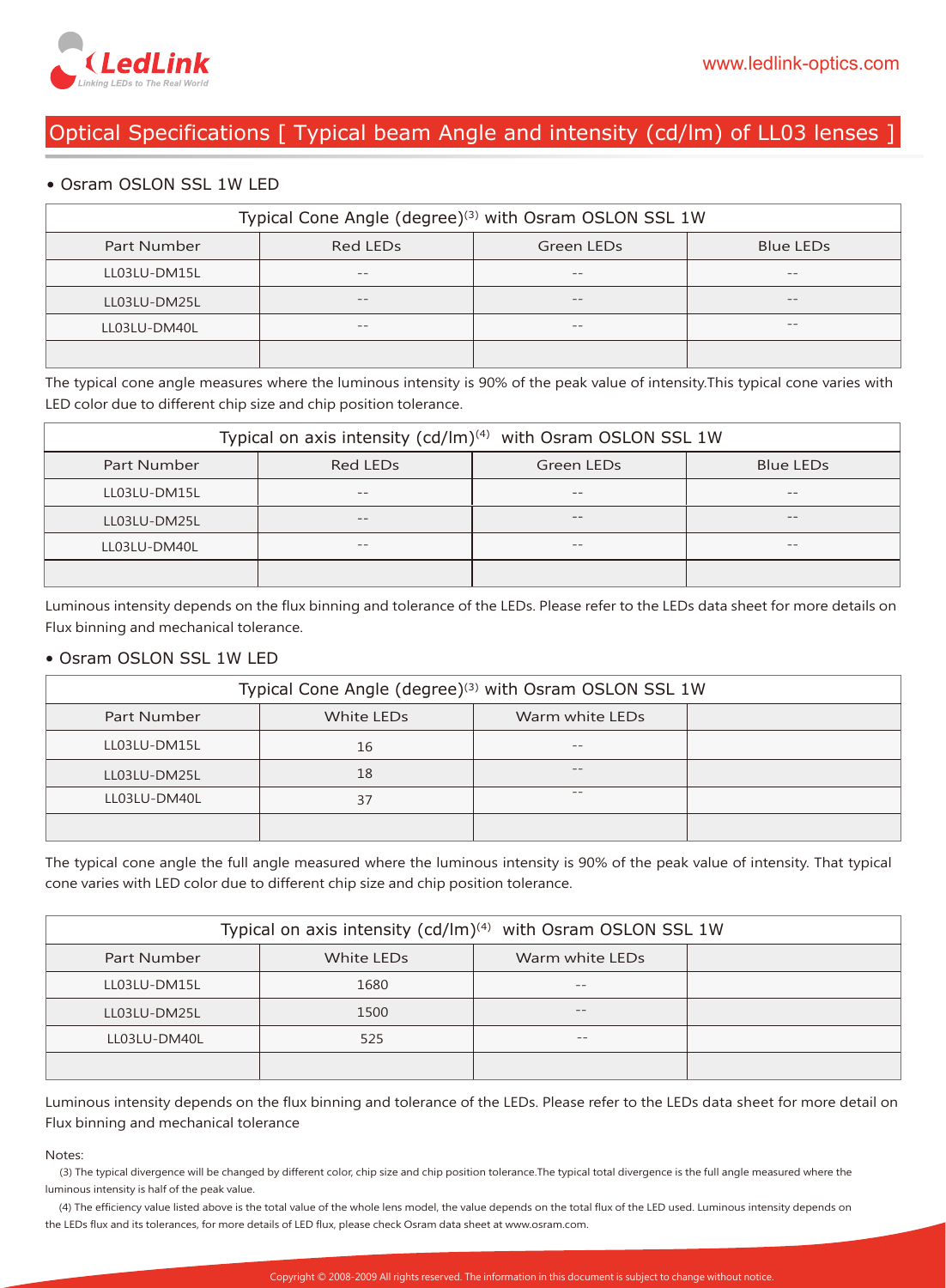

# Optical Specifications [ Typical beam Angle and intensity (cd/lm) of LL03 lenses ]

#### • Osram OSLON SSL 1W LED

| Typical Cone Angle (degree) <sup>(3)</sup> with Osram OSLON SSL 1W |          |            |           |
|--------------------------------------------------------------------|----------|------------|-----------|
| Part Number                                                        | Red LEDs | Green LEDs | Blue LEDs |
| LL03LU-DM15L                                                       | $= -$    | $- -$      | --        |
| LL03LU-DM25L                                                       | $- -$    | $- -$      | $- -$     |
| LL03LU-DM40L                                                       | $- -$    | $- -$      | $- -$     |
|                                                                    |          |            |           |

The typical cone angle measures where the luminous intensity is 90% of the peak value of intensity.This typical cone varies with LED color due to different chip size and chip position tolerance.

| Typical on axis intensity (cd/lm) <sup>(4)</sup> with Osram OSLON SSL 1W |                      |            |           |
|--------------------------------------------------------------------------|----------------------|------------|-----------|
| Part Number                                                              | Red LED <sub>s</sub> | Green LEDs | Blue LEDs |
| LL03LU-DM15L                                                             | $- -$                | $- -$      | $- -$     |
| LL03LU-DM25L                                                             | $- -$                | $- -$      | $- -$     |
| LL03LU-DM40L                                                             | $- -$                | $- -$      | $- -$     |
|                                                                          |                      |            |           |

Luminous intensity depends on the flux binning and tolerance of the LEDs. Please refer to the LEDs data sheet for more details on Flux binning and mechanical tolerance.

#### • Osram OSLON SSL 1W LED

| Typical Cone Angle (degree) <sup>(3)</sup> with Osram OSLON SSL 1W |            |                 |  |
|--------------------------------------------------------------------|------------|-----------------|--|
| Part Number                                                        | White LEDs | Warm white LEDs |  |
| LL03LU-DM15L                                                       | 16         | $- -$           |  |
| LL03LU-DM25L                                                       | 18         | $- -$           |  |
| LL03LU-DM40L                                                       | 37         | $- -$           |  |
|                                                                    |            |                 |  |

The typical cone angle the full angle measured where the luminous intensity is 90% of the peak value of intensity. That typical cone varies with LED color due to different chip size and chip position tolerance.

| Typical on axis intensity $(cd/Im)^{(4)}$ with Osram OSLON SSL 1W |            |                 |  |
|-------------------------------------------------------------------|------------|-----------------|--|
| Part Number                                                       | White LEDs | Warm white LEDs |  |
| LL03LU-DM15L                                                      | 1680       | $- -$           |  |
| LL03LU-DM25L                                                      | 1500       | $- -$           |  |
| LL03LU-DM40L                                                      | 525        | --              |  |
|                                                                   |            |                 |  |

Luminous intensity depends on the flux binning and tolerance of the LEDs. Please refer to the LEDs data sheet for more detail on Flux binning and mechanical tolerance

#### Notes:

 (3) The typical divergence will be changed by different color, chip size and chip position tolerance.The typical total divergence is the full angle measured where the luminous intensity is half of the peak value.

 (4) The efficiency value listed above is the total value of the whole lens model, the value depends on the total flux of the LED used. Luminous intensity depends on the LEDs flux and its tolerances, for more details of LED flux, please check Osram data sheet at www.osram.com.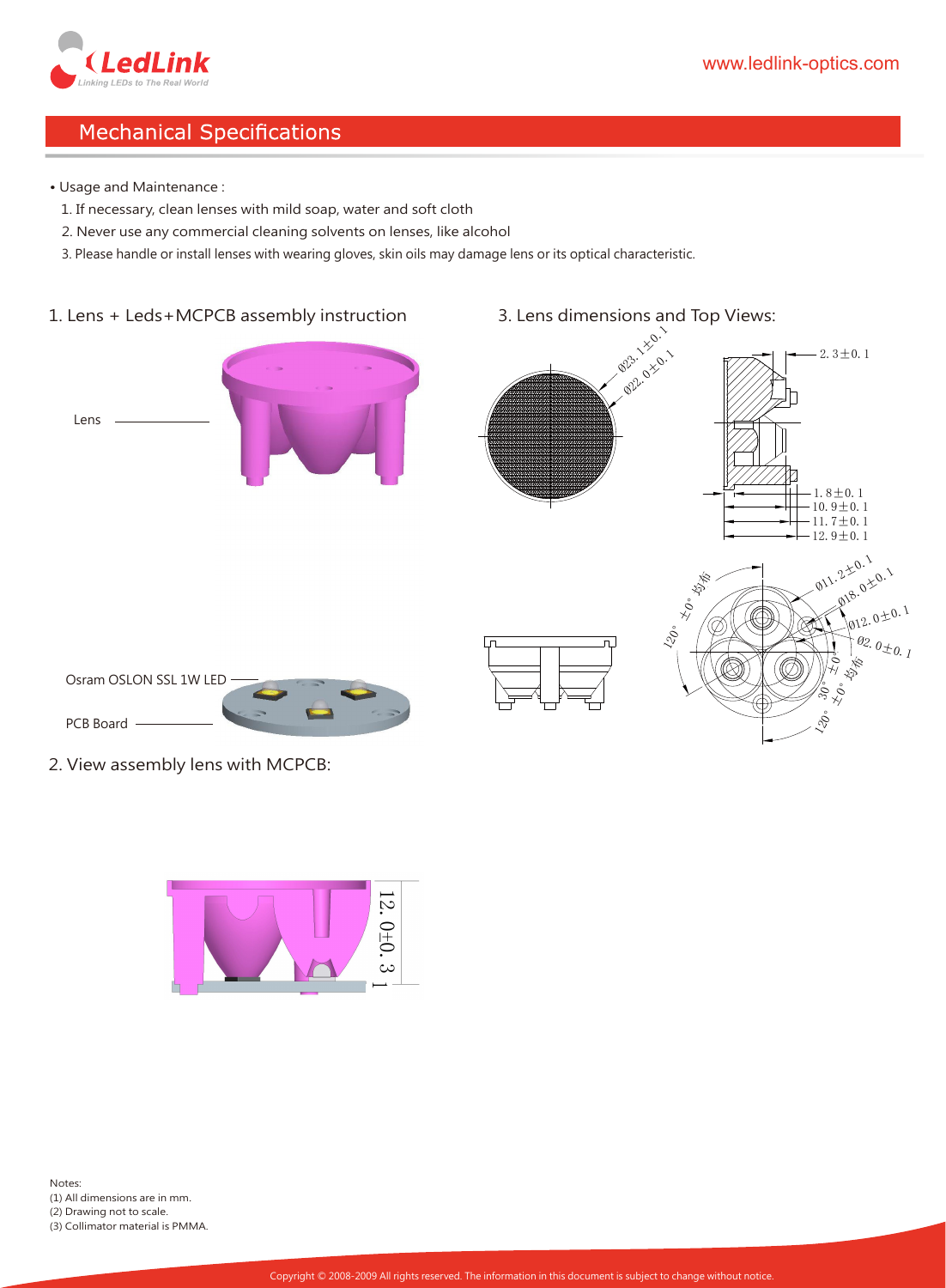

# **Mechanical Specifications**

- Usage and Maintenance :
	- 1. If necessary, clean lenses with mild soap, water and soft cloth
	- 2. Never use any commercial cleaning solvents on lenses, like alcohol
- 3. Please handle or install lenses with wearing gloves, skin oils may damage lens or its optical characteristic.

#### 1. Lens + Leds+MCPCB assembly instruction

- Lens
- 



2. View assembly lens with MCPCB:

PCB Board

Osram OSLON SSL 1W LED

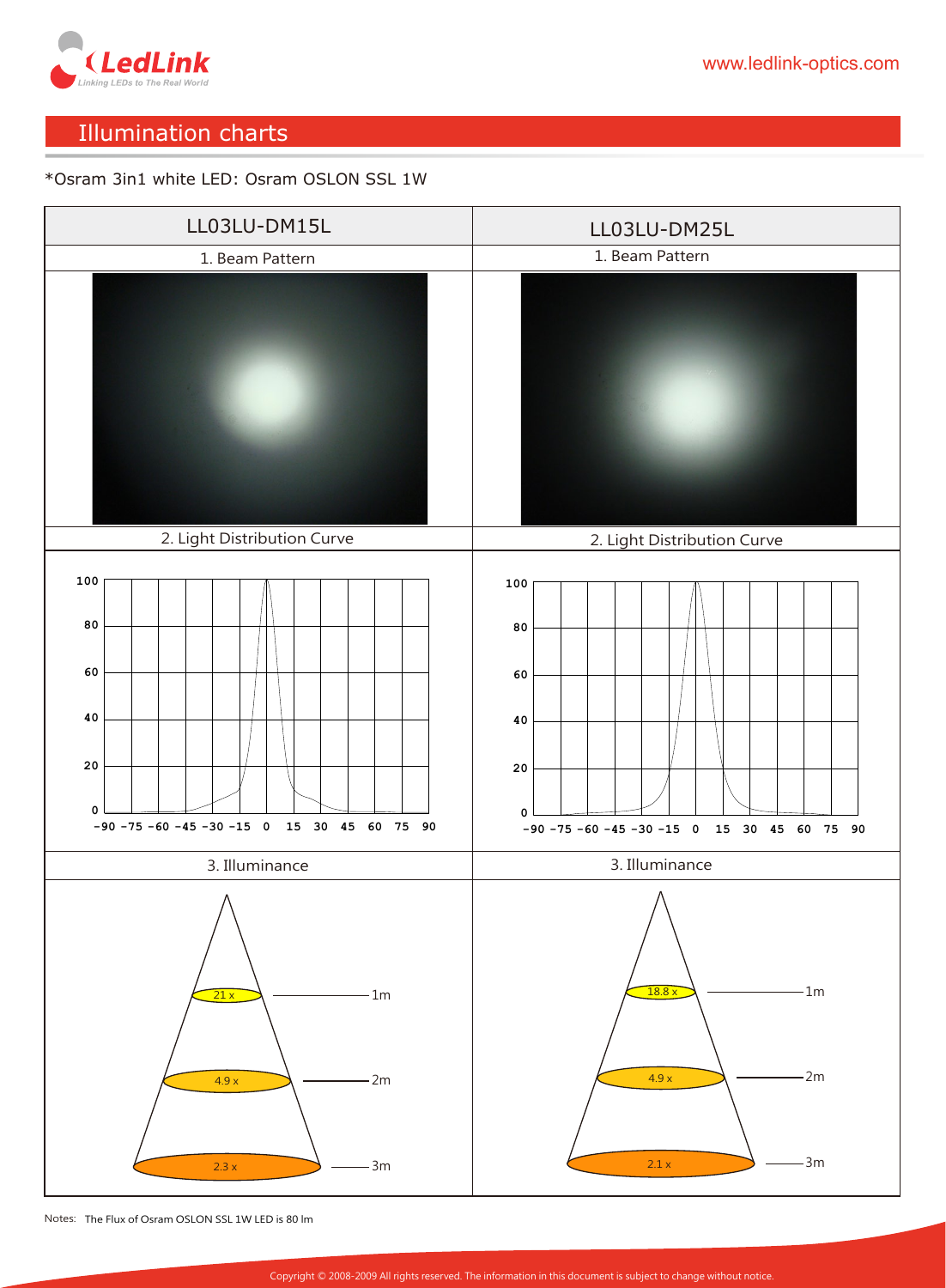

# Illumination charts

#### \*Osram 3in1 white LED: Osram OSLON SSL 1W



Notes: The Flux of Osram OSLON SSL 1W LED is 80 lm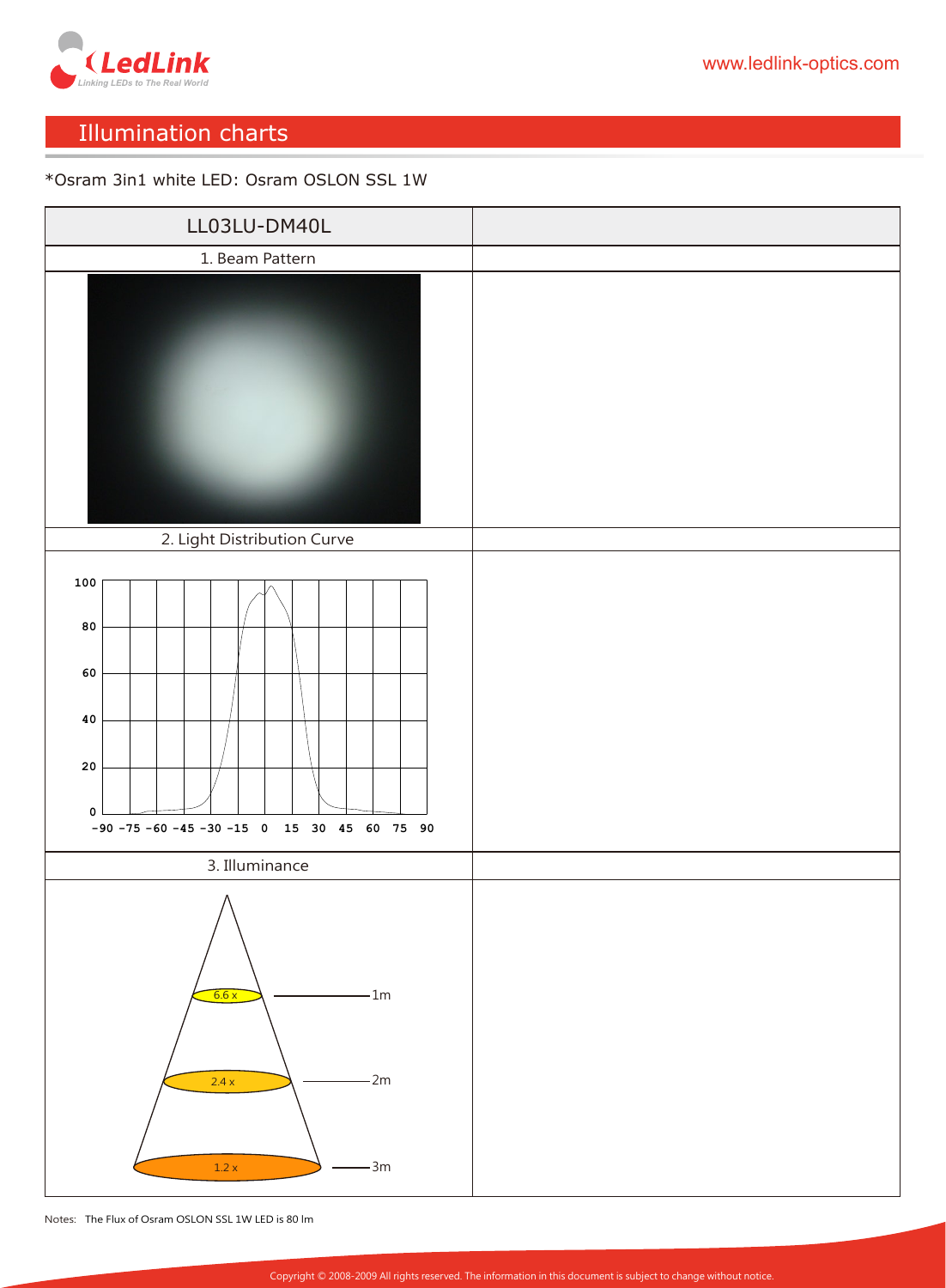

# Illumination charts

#### \*Osram 3in1 white LED: Osram OSLON SSL 1W



Notes: The Flux of Osram OSLON SSL 1W LED is 80 lm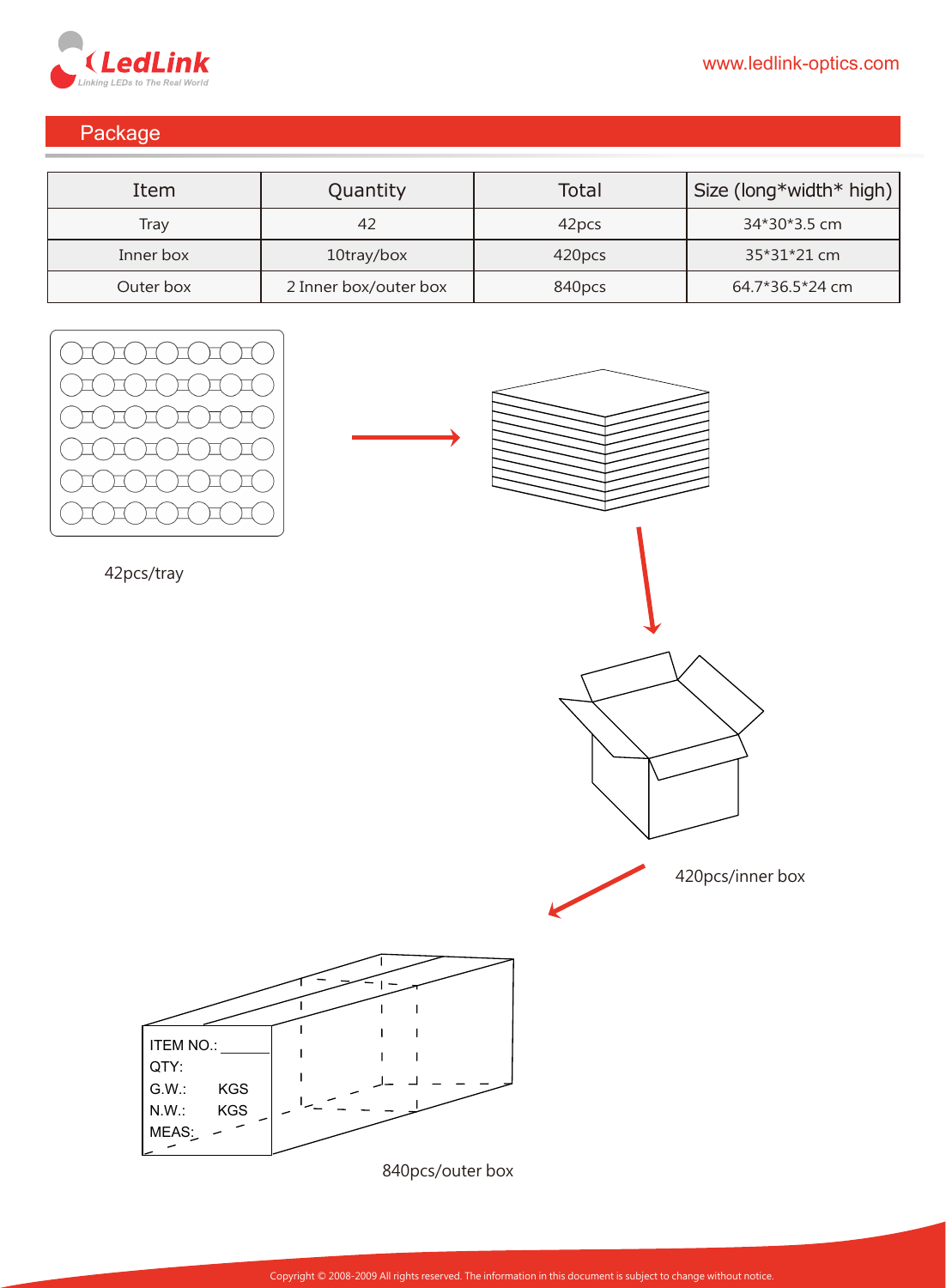

# Package

| Item      | Quantity              | Total             | Size (long*width* high) |
|-----------|-----------------------|-------------------|-------------------------|
| Tray      | 42                    | 42 <sub>pcs</sub> | 34*30*3.5 cm            |
| Inner box | 10tray/box            | 420pcs            | 35*31*21 cm             |
| Outer box | 2 Inner box/outer box | 840pcs            | 64.7*36.5*24 cm         |











840pcs/outer box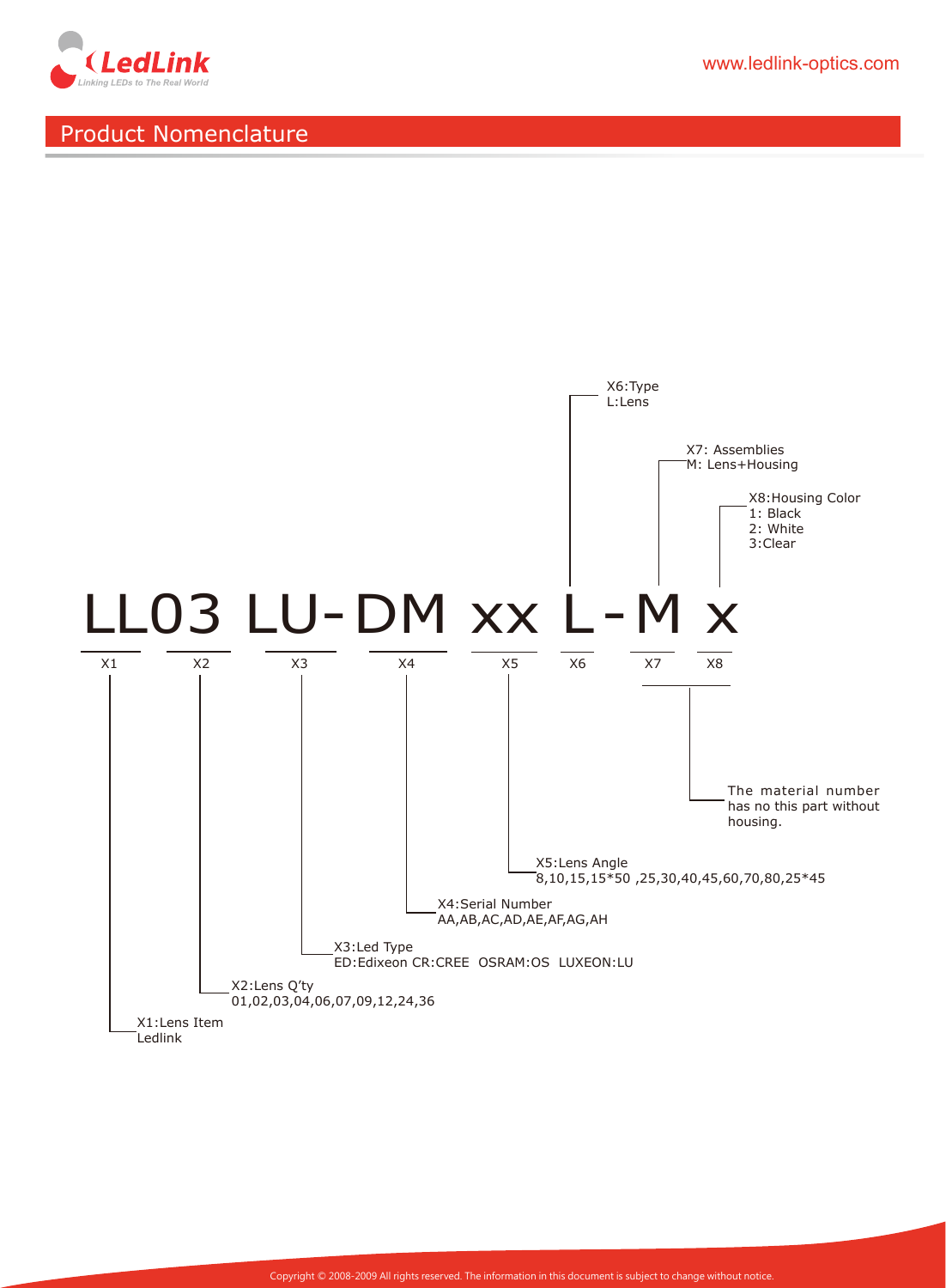

www.ledlink-optics.com

# Product Nomenclature